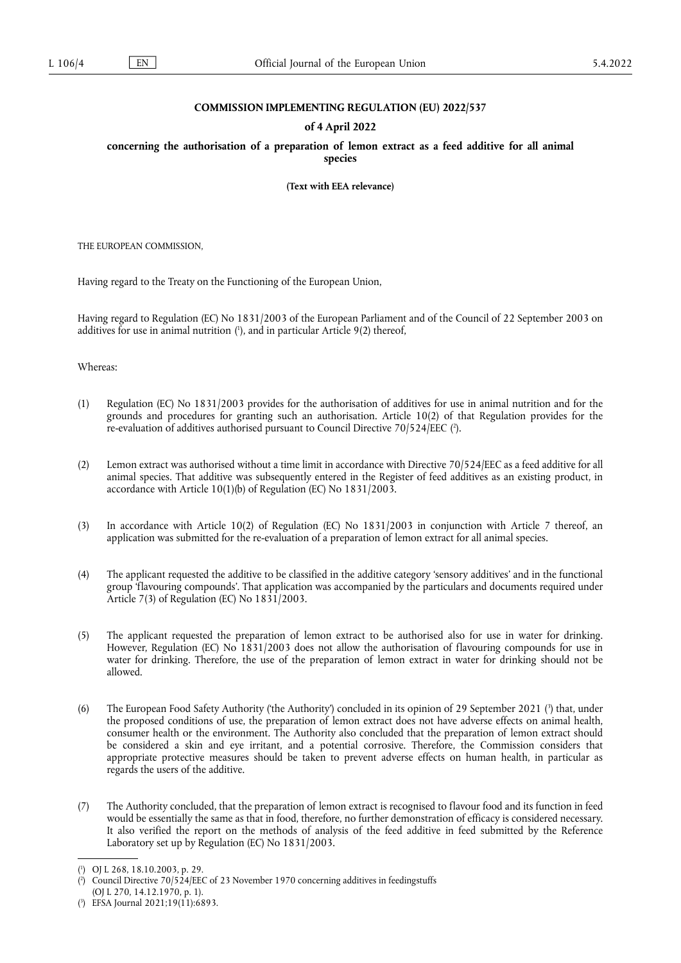### **COMMISSION IMPLEMENTING REGULATION (EU) 2022/537**

### **of 4 April 2022**

**concerning the authorisation of a preparation of lemon extract as a feed additive for all animal species** 

**(Text with EEA relevance)** 

THE EUROPEAN COMMISSION,

Having regard to the Treaty on the Functioning of the European Union,

<span id="page-0-3"></span>Having regard to Regulation (EC) No 1831/2003 of the European Parliament and of the Council of 22 September 2003 on additives for use in animal nutrition ( 1 [\),](#page-0-0) and in particular Article 9(2) thereof,

Whereas:

- <span id="page-0-4"></span>(1) Regulation (EC) No 1831/2003 provides for the authorisation of additives for use in animal nutrition and for the grounds and procedures for granting such an authorisation. Article 10(2) of that Regulation provides for the re-evaluation of additives authorised pursuant to Council Directive 70/524/EEC [\(](#page-0-1) 2 ).
- (2) Lemon extract was authorised without a time limit in accordance with Directive 70/524/EEC as a feed additive for all animal species. That additive was subsequently entered in the Register of feed additives as an existing product, in accordance with Article 10(1)(b) of Regulation (EC) No 1831/2003.
- (3) In accordance with Article 10(2) of Regulation (EC) No 1831/2003 in conjunction with Article 7 thereof, an application was submitted for the re-evaluation of a preparation of lemon extract for all animal species.
- (4) The applicant requested the additive to be classified in the additive category 'sensory additives' and in the functional group 'flavouring compounds'. That application was accompanied by the particulars and documents required under Article 7(3) of Regulation (EC) No 1831/2003.
- (5) The applicant requested the preparation of lemon extract to be authorised also for use in water for drinking. However, Regulation (EC) No 1831/2003 does not allow the authorisation of flavouring compounds for use in water for drinking. Therefore, the use of the preparation of lemon extract in water for drinking should not be allowed.
- <span id="page-0-5"></span>[\(](#page-0-2)6) The European Food Safety Authority ('the Authority') concluded in its opinion of 29 September 2021 (<sup>3</sup>) that, under the proposed conditions of use, the preparation of lemon extract does not have adverse effects on animal health, consumer health or the environment. The Authority also concluded that the preparation of lemon extract should be considered a skin and eye irritant, and a potential corrosive. Therefore, the Commission considers that appropriate protective measures should be taken to prevent adverse effects on human health, in particular as regards the users of the additive.
- (7) The Authority concluded, that the preparation of lemon extract is recognised to flavour food and its function in feed would be essentially the same as that in food, therefore, no further demonstration of efficacy is considered necessary. It also verified the report on the methods of analysis of the feed additive in feed submitted by the Reference Laboratory set up by Regulation (EC) No 1831/2003.

(OJ L 270, 14.12.1970, p. 1).

<span id="page-0-0"></span>[<sup>\(</sup>](#page-0-3) 1 ) OJ L 268, 18.10.2003, p. 29.

<span id="page-0-1"></span>[<sup>\(</sup>](#page-0-4) 2 ) Council Directive 70/524/EEC of 23 November 1970 concerning additives in feedingstuffs

<span id="page-0-2"></span><sup>(</sup> 3 [\)](#page-0-5) EFSA Journal 2021;19(11):6893.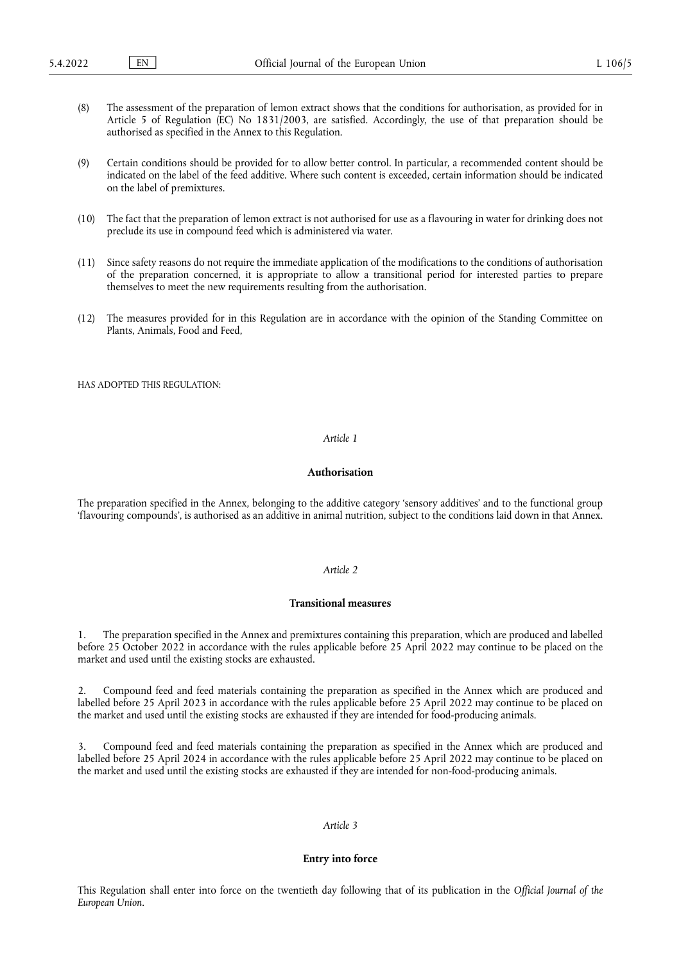- (8) The assessment of the preparation of lemon extract shows that the conditions for authorisation, as provided for in Article 5 of Regulation (EC) No 1831/2003, are satisfied. Accordingly, the use of that preparation should be authorised as specified in the Annex to this Regulation.
- (9) Certain conditions should be provided for to allow better control. In particular, a recommended content should be indicated on the label of the feed additive. Where such content is exceeded, certain information should be indicated on the label of premixtures.
- (10) The fact that the preparation of lemon extract is not authorised for use as a flavouring in water for drinking does not preclude its use in compound feed which is administered via water.
- (11) Since safety reasons do not require the immediate application of the modifications to the conditions of authorisation of the preparation concerned, it is appropriate to allow a transitional period for interested parties to prepare themselves to meet the new requirements resulting from the authorisation.
- (12) The measures provided for in this Regulation are in accordance with the opinion of the Standing Committee on Plants, Animals, Food and Feed,

HAS ADOPTED THIS REGULATION:

#### *Article 1*

### **Authorisation**

The preparation specified in the Annex, belonging to the additive category 'sensory additives' and to the functional group 'flavouring compounds', is authorised as an additive in animal nutrition, subject to the conditions laid down in that Annex.

# *Article 2*

#### **Transitional measures**

1. The preparation specified in the Annex and premixtures containing this preparation, which are produced and labelled before 25 October 2022 in accordance with the rules applicable before 25 April 2022 may continue to be placed on the market and used until the existing stocks are exhausted.

2. Compound feed and feed materials containing the preparation as specified in the Annex which are produced and labelled before 25 April 2023 in accordance with the rules applicable before 25 April 2022 may continue to be placed on the market and used until the existing stocks are exhausted if they are intended for food-producing animals.

3. Compound feed and feed materials containing the preparation as specified in the Annex which are produced and labelled before 25 April 2024 in accordance with the rules applicable before 25 April 2022 may continue to be placed on the market and used until the existing stocks are exhausted if they are intended for non-food-producing animals.

### *Article 3*

### **Entry into force**

This Regulation shall enter into force on the twentieth day following that of its publication in the *Official Journal of the European Union*.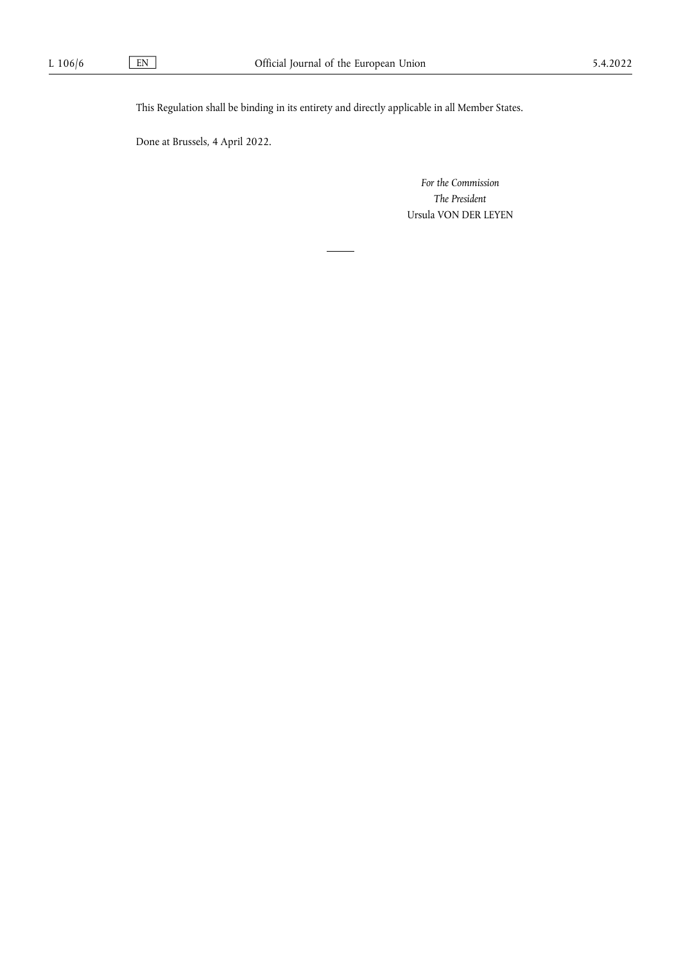This Regulation shall be binding in its entirety and directly applicable in all Member States.

Done at Brussels, 4 April 2022.

*For the Commission The President* Ursula VON DER LEYEN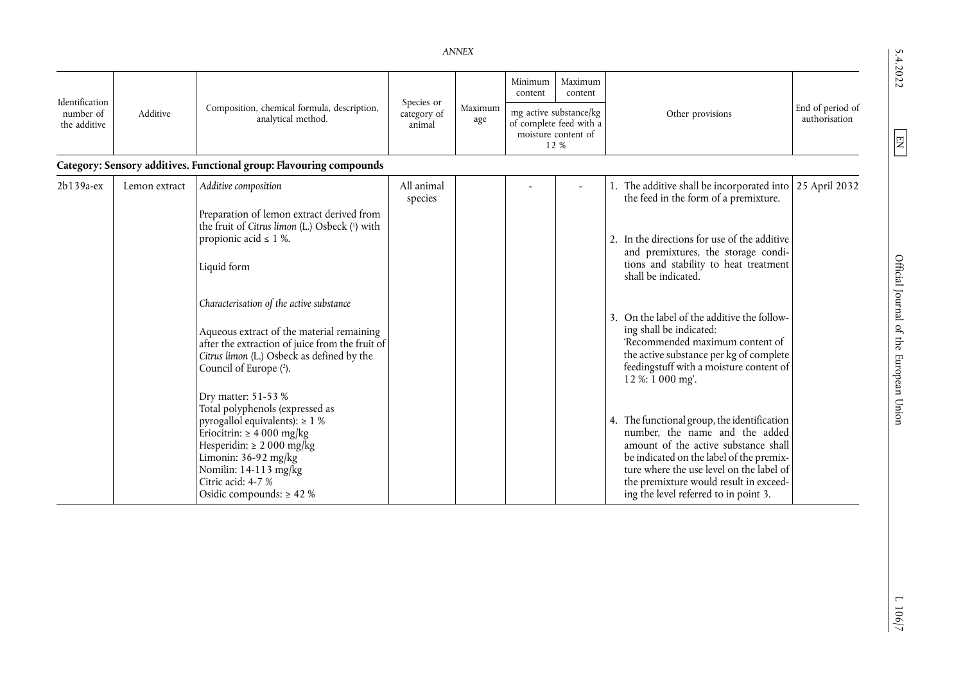# *ANNEX*

| Lл     |
|--------|
|        |
| ↛      |
| د      |
|        |
| r<br>∍ |
|        |
| ∼      |
|        |

| Identification            | Additive      | Composition, chemical formula, description,<br>analytical method.                                                                                                                                                                                                         | Species or<br>category of<br>animal | Maximum<br>age | Minimum<br>content                                                               | Maximum<br>content |                                                                                                                                                                                                                                                                                                  |                                   |
|---------------------------|---------------|---------------------------------------------------------------------------------------------------------------------------------------------------------------------------------------------------------------------------------------------------------------------------|-------------------------------------|----------------|----------------------------------------------------------------------------------|--------------------|--------------------------------------------------------------------------------------------------------------------------------------------------------------------------------------------------------------------------------------------------------------------------------------------------|-----------------------------------|
| number of<br>the additive |               |                                                                                                                                                                                                                                                                           |                                     |                | mg active substance/kg<br>of complete feed with a<br>moisture content of<br>12 % |                    | Other provisions                                                                                                                                                                                                                                                                                 | End of period of<br>authorisation |
|                           |               | Category: Sensory additives. Functional group: Flavouring compounds                                                                                                                                                                                                       |                                     |                |                                                                                  |                    |                                                                                                                                                                                                                                                                                                  |                                   |
| 2b139a-ex                 | Lemon extract | Additive composition                                                                                                                                                                                                                                                      | All animal<br>species               |                |                                                                                  |                    | The additive shall be incorporated into 25 April 2032<br>the feed in the form of a premixture.                                                                                                                                                                                                   |                                   |
|                           |               | Preparation of lemon extract derived from<br>the fruit of Citrus limon (L.) Osbeck (1) with<br>propionic acid $\leq$ 1 %.<br>Liquid form                                                                                                                                  |                                     |                |                                                                                  |                    | In the directions for use of the additive<br>2.<br>and premixtures, the storage condi-<br>tions and stability to heat treatment<br>shall be indicated.                                                                                                                                           |                                   |
|                           |               | Characterisation of the active substance<br>Aqueous extract of the material remaining<br>after the extraction of juice from the fruit of<br>Citrus limon (L.) Osbeck as defined by the<br>Council of Europe (2).                                                          |                                     |                |                                                                                  |                    | On the label of the additive the follow-<br>ing shall be indicated:<br>'Recommended maximum content of<br>the active substance per kg of complete<br>feedingstuff with a moisture content of<br>12 %: 1 000 mg'.                                                                                 |                                   |
|                           |               | Dry matter: 51-53 %<br>Total polyphenols (expressed as<br>pyrogallol equivalents): $\geq 1$ %<br>Eriocitrin: $\geq 4000$ mg/kg<br>Hesperidin: $\geq 2000$ mg/kg<br>Limonin: $36-92$ mg/kg<br>Nomilin: 14-113 mg/kg<br>Citric acid: 4-7 %<br>Osidic compounds: $\geq 42\%$ |                                     |                |                                                                                  |                    | 4. The functional group, the identification<br>number, the name and the added<br>amount of the active substance shall<br>be indicated on the label of the premix-<br>ture where the use level on the label of<br>the premixture would result in exceed-<br>ing the level referred to in point 3. |                                   |